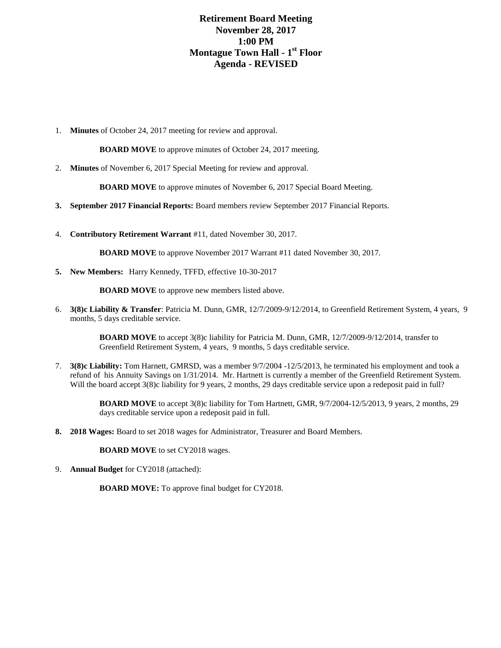## **Retirement Board Meeting November 28, 2017 1:00 PM Montague Town Hall - 1 st Floor Agenda - REVISED**

1. **Minutes** of October 24, 2017 meeting for review and approval.

**BOARD MOVE** to approve minutes of October 24, 2017 meeting.

2. **Minutes** of November 6, 2017 Special Meeting for review and approval.

**BOARD MOVE** to approve minutes of November 6, 2017 Special Board Meeting.

- **3. September 2017 Financial Reports:** Board members review September 2017 Financial Reports.
- 4. **Contributory Retirement Warrant** #11, dated November 30, 2017.

**BOARD MOVE** to approve November 2017 Warrant #11 dated November 30, 2017.

**5. New Members:** Harry Kennedy, TFFD, effective 10-30-2017

**BOARD MOVE** to approve new members listed above.

6. **3(8)c Liability & Transfer**: Patricia M. Dunn, GMR, 12/7/2009-9/12/2014, to Greenfield Retirement System, 4 years, 9 months, 5 days creditable service.

> **BOARD MOVE** to accept 3(8)c liability for Patricia M. Dunn, GMR, 12/7/2009-9/12/2014, transfer to Greenfield Retirement System, 4 years, 9 months, 5 days creditable service.

7. **3(8)c Liability:** Tom Harnett, GMRSD, was a member 9/7/2004 -12/5/2013, he terminated his employment and took a refund of his Annuity Savings on 1/31/2014. Mr. Hartnett is currently a member of the Greenfield Retirement System. Will the board accept 3(8)c liability for 9 years, 2 months, 29 days creditable service upon a redeposit paid in full?

> **BOARD MOVE** to accept 3(8)c liability for Tom Hartnett, GMR, 9/7/2004-12/5/2013, 9 years, 2 months, 29 days creditable service upon a redeposit paid in full.

**8. 2018 Wages:** Board to set 2018 wages for Administrator, Treasurer and Board Members.

**BOARD MOVE** to set CY2018 wages.

9. **Annual Budget** for CY2018 (attached):

**BOARD MOVE:** To approve final budget for CY2018.